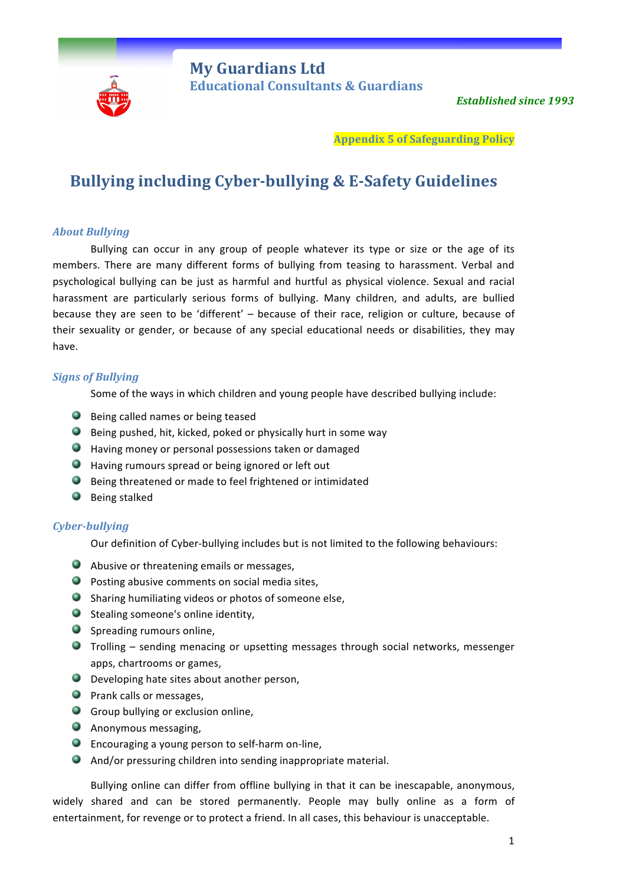

**Appendix 5 of Safeguarding Policy**

# **Bullying including Cyber-bullying & E-Safety Guidelines**

## *About Bullying*

Bullying can occur in any group of people whatever its type or size or the age of its members. There are many different forms of bullying from teasing to harassment. Verbal and psychological bullying can be just as harmful and hurtful as physical violence. Sexual and racial harassment are particularly serious forms of bullying. Many children, and adults, are bullied because they are seen to be 'different' – because of their race, religion or culture, because of their sexuality or gender, or because of any special educational needs or disabilities, they may have. 

## *Signs of Bullying*

Some of the ways in which children and young people have described bullying include:

- **Being called names or being teased**
- $\bullet$  Being pushed, hit, kicked, poked or physically hurt in some way
- $\bullet$  Having money or personal possessions taken or damaged
- $\bullet$  Having rumours spread or being ignored or left out
- $\bullet$  Being threatened or made to feel frightened or intimidated
- Being stalked

## *Cyber-bullying*

Our definition of Cyber-bullying includes but is not limited to the following behaviours:

- Abusive or threatening emails or messages,
- $\bullet$  Posting abusive comments on social media sites,
- O Sharing humiliating videos or photos of someone else,
- $\bullet$  Stealing someone's online identity,
- Spreading rumours online,
- **Trolling** sending menacing or upsetting messages through social networks, messenger apps, chartrooms or games,
- $\bullet$  Developing hate sites about another person,
- **Prank calls or messages,**
- $\bullet$  Group bullying or exclusion online,
- **Anonymous messaging,**
- $\bullet$  Encouraging a young person to self-harm on-line,
- $\bullet$  And/or pressuring children into sending inappropriate material.

Bullying online can differ from offline bullying in that it can be inescapable, anonymous, widely shared and can be stored permanently. People may bully online as a form of entertainment, for revenge or to protect a friend. In all cases, this behaviour is unacceptable.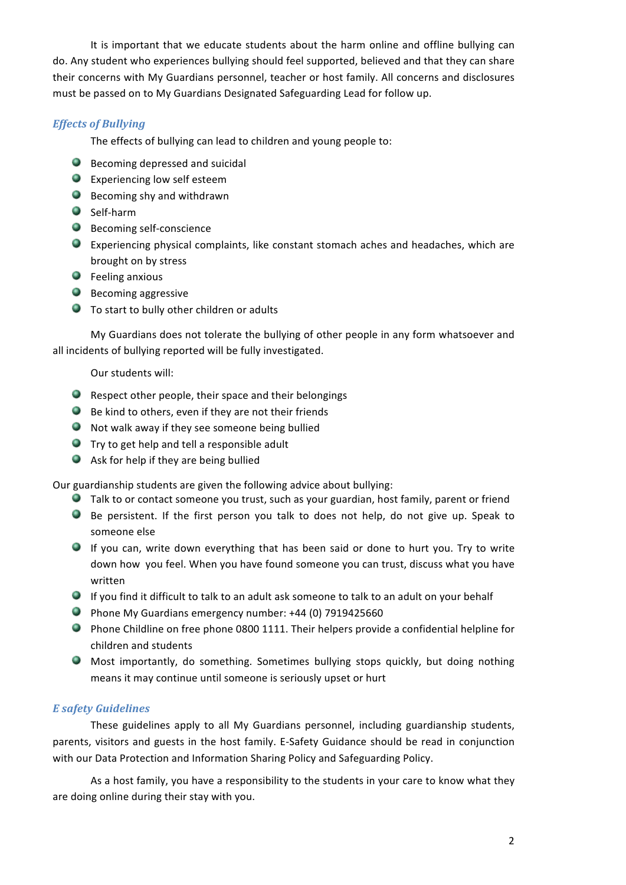It is important that we educate students about the harm online and offline bullying can do. Any student who experiences bullying should feel supported, believed and that they can share their concerns with My Guardians personnel, teacher or host family. All concerns and disclosures must be passed on to My Guardians Designated Safeguarding Lead for follow up.

## *Effects of Bullying*

The effects of bullying can lead to children and young people to:

- $\bullet$  Becoming depressed and suicidal
- $\bullet$  Experiencing low self esteem
- **Becoming shy and withdrawn**
- Self-harm
- **Becoming self-conscience**
- Experiencing physical complaints, like constant stomach aches and headaches, which are brought on by stress
- $\bullet$  Feeling anxious
- Becoming aggressive
- $\bullet$  To start to bully other children or adults

My Guardians does not tolerate the bullying of other people in any form whatsoever and all incidents of bullying reported will be fully investigated.

## Our students will:

- $\bullet$  Respect other people, their space and their belongings
- $\bullet$  Be kind to others, even if they are not their friends
- $\bullet$  Not walk away if they see someone being bullied
- $\bullet$  Try to get help and tell a responsible adult
- $\bullet$  Ask for help if they are being bullied

Our guardianship students are given the following advice about bullying:

- **O** Talk to or contact someone you trust, such as your guardian, host family, parent or friend
- Be persistent. If the first person you talk to does not help, do not give up. Speak to someone else
- $\bullet$  If you can, write down everything that has been said or done to hurt you. Try to write down how you feel. When you have found someone you can trust, discuss what you have written
- If you find it difficult to talk to an adult ask someone to talk to an adult on your behalf
- **Phone My Guardians emergency number:** +44 (0) 7919425660
- $\bullet$  Phone Childline on free phone 0800 1111. Their helpers provide a confidential helpline for children and students
- $\bullet$  Most importantly, do something. Sometimes bullying stops quickly, but doing nothing means it may continue until someone is seriously upset or hurt

## *E safety Guidelines*

These guidelines apply to all My Guardians personnel, including guardianship students, parents, visitors and guests in the host family. E-Safety Guidance should be read in conjunction with our Data Protection and Information Sharing Policy and Safeguarding Policy.

As a host family, you have a responsibility to the students in your care to know what they are doing online during their stay with you.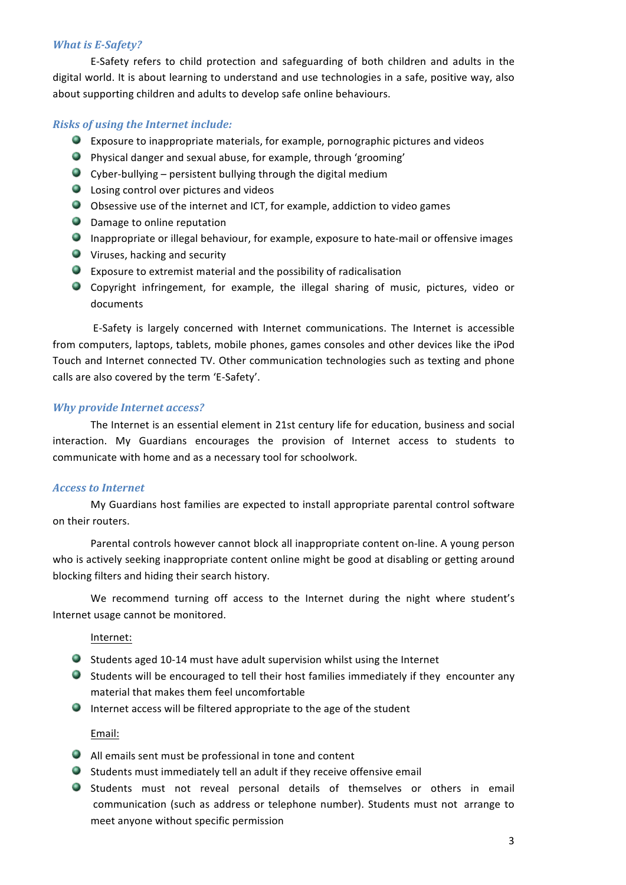#### *What is E-Safety?*

E-Safety refers to child protection and safeguarding of both children and adults in the digital world. It is about learning to understand and use technologies in a safe, positive way, also about supporting children and adults to develop safe online behaviours.

#### **Risks of using the Internet include:**

- $\bullet$  Exposure to inappropriate materials, for example, pornographic pictures and videos
- $\bullet$  Physical danger and sexual abuse, for example, through 'grooming'
- $\bullet$  Cyber-bullying persistent bullying through the digital medium
- $\bullet$  Losing control over pictures and videos
- O Obsessive use of the internet and ICT, for example, addiction to video games
- **O** Damage to online reputation
- **ID** Inappropriate or illegal behaviour, for example, exposure to hate-mail or offensive images
- $\bullet$  Viruses, hacking and security
- $\bullet$  Exposure to extremist material and the possibility of radicalisation
- Copyright infringement, for example, the illegal sharing of music, pictures, video or documents

E-Safety is largely concerned with Internet communications. The Internet is accessible from computers, laptops, tablets, mobile phones, games consoles and other devices like the iPod Touch and Internet connected TV. Other communication technologies such as texting and phone calls are also covered by the term 'E-Safety'.

#### **Why provide Internet access?**

The Internet is an essential element in 21st century life for education, business and social interaction. My Guardians encourages the provision of Internet access to students to communicate with home and as a necessary tool for schoolwork.

#### *Access to Internet*

My Guardians host families are expected to install appropriate parental control software on their routers.

Parental controls however cannot block all inappropriate content on-line. A young person who is actively seeking inappropriate content online might be good at disabling or getting around blocking filters and hiding their search history.

We recommend turning off access to the Internet during the night where student's Internet usage cannot be monitored.

#### Internet:

- Students aged 10-14 must have adult supervision whilst using the Internet
- Students will be encouraged to tell their host families immediately if they encounter any material that makes them feel uncomfortable
- $\bullet$  Internet access will be filtered appropriate to the age of the student

Email:

- $\bullet$  All emails sent must be professional in tone and content
- $\bullet$  Students must immediately tell an adult if they receive offensive email
- Students must not reveal personal details of themselves or others in email communication (such as address or telephone number). Students must not arrange to meet anyone without specific permission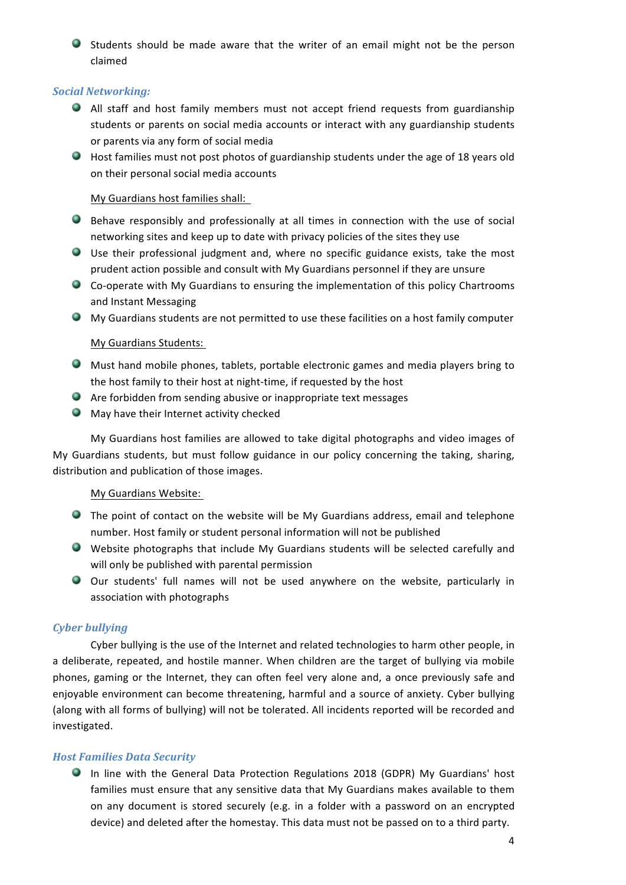● Students should be made aware that the writer of an email might not be the person claimed

## *Social Networking:*

- All staff and host family members must not accept friend requests from guardianship students or parents on social media accounts or interact with any guardianship students or parents via any form of social media
- Host families must not post photos of guardianship students under the age of 18 years old on their personal social media accounts

## My Guardians host families shall:

- $\bullet$  Behave responsibly and professionally at all times in connection with the use of social networking sites and keep up to date with privacy policies of the sites they use
- Use their professional judgment and, where no specific guidance exists, take the most prudent action possible and consult with My Guardians personnel if they are unsure
- $\bullet$  Co-operate with My Guardians to ensuring the implementation of this policy Chartrooms and Instant Messaging
- $\bullet$  My Guardians students are not permitted to use these facilities on a host family computer

## My Guardians Students:

- $\bullet$  Must hand mobile phones, tablets, portable electronic games and media players bring to the host family to their host at night-time, if requested by the host
- $\bullet$  Are forbidden from sending abusive or inappropriate text messages
- $\bullet$  May have their Internet activity checked

My Guardians host families are allowed to take digital photographs and video images of My Guardians students, but must follow guidance in our policy concerning the taking, sharing, distribution and publication of those images.

## My Guardians Website:

- $\bullet$  The point of contact on the website will be My Guardians address, email and telephone number. Host family or student personal information will not be published
- Website photographs that include My Guardians students will be selected carefully and will only be published with parental permission
- O Our students' full names will not be used anywhere on the website, particularly in association with photographs

## *Cyber bullying*

Cyber bullying is the use of the Internet and related technologies to harm other people, in a deliberate, repeated, and hostile manner. When children are the target of bullying via mobile phones, gaming or the Internet, they can often feel very alone and, a once previously safe and enjoyable environment can become threatening, harmful and a source of anxiety. Cyber bullying (along with all forms of bullying) will not be tolerated. All incidents reported will be recorded and investigated. 

## *Host Families Data Security*

In line with the General Data Protection Regulations 2018 (GDPR) My Guardians' host families must ensure that any sensitive data that My Guardians makes available to them on any document is stored securely (e.g. in a folder with a password on an encrypted device) and deleted after the homestay. This data must not be passed on to a third party.